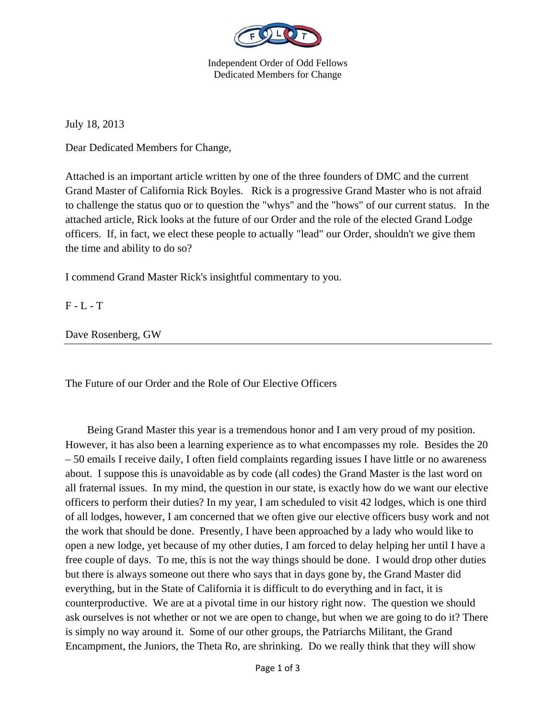

Independent Order of Odd Fellows Dedicated Members for Change

July 18, 2013

Dear Dedicated Members for Change,

Attached is an important article written by one of the three founders of DMC and the current Grand Master of California Rick Boyles. Rick is a progressive Grand Master who is not afraid to challenge the status quo or to question the "whys" and the "hows" of our current status. In the attached article, Rick looks at the future of our Order and the role of the elected Grand Lodge officers. If, in fact, we elect these people to actually "lead" our Order, shouldn't we give them the time and ability to do so?

I commend Grand Master Rick's insightful commentary to you.

F - L - T

Dave Rosenberg, GW

The Future of our Order and the Role of Our Elective Officers

 Being Grand Master this year is a tremendous honor and I am very proud of my position. However, it has also been a learning experience as to what encompasses my role. Besides the 20 – 50 emails I receive daily, I often field complaints regarding issues I have little or no awareness about. I suppose this is unavoidable as by code (all codes) the Grand Master is the last word on all fraternal issues. In my mind, the question in our state, is exactly how do we want our elective officers to perform their duties? In my year, I am scheduled to visit 42 lodges, which is one third of all lodges, however, I am concerned that we often give our elective officers busy work and not the work that should be done. Presently, I have been approached by a lady who would like to open a new lodge, yet because of my other duties, I am forced to delay helping her until I have a free couple of days. To me, this is not the way things should be done. I would drop other duties but there is always someone out there who says that in days gone by, the Grand Master did everything, but in the State of California it is difficult to do everything and in fact, it is counterproductive. We are at a pivotal time in our history right now. The question we should ask ourselves is not whether or not we are open to change, but when we are going to do it? There is simply no way around it. Some of our other groups, the Patriarchs Militant, the Grand Encampment, the Juniors, the Theta Ro, are shrinking. Do we really think that they will show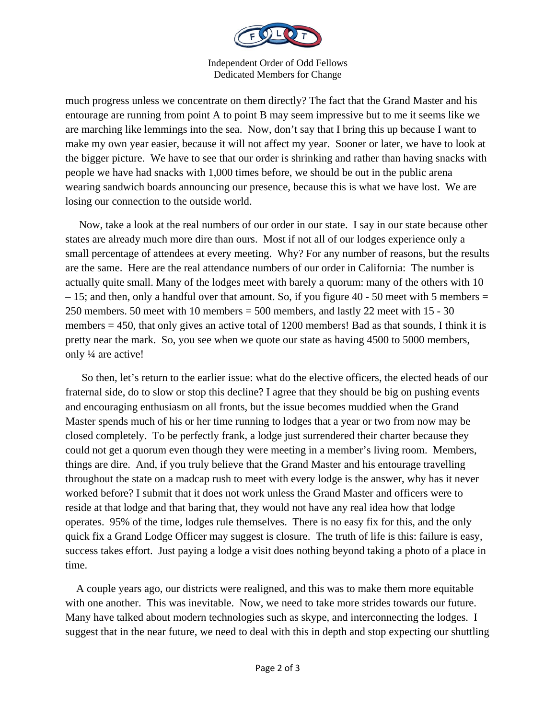

Independent Order of Odd Fellows Dedicated Members for Change

much progress unless we concentrate on them directly? The fact that the Grand Master and his entourage are running from point A to point B may seem impressive but to me it seems like we are marching like lemmings into the sea. Now, don't say that I bring this up because I want to make my own year easier, because it will not affect my year. Sooner or later, we have to look at the bigger picture. We have to see that our order is shrinking and rather than having snacks with people we have had snacks with 1,000 times before, we should be out in the public arena wearing sandwich boards announcing our presence, because this is what we have lost. We are losing our connection to the outside world.

 Now, take a look at the real numbers of our order in our state. I say in our state because other states are already much more dire than ours. Most if not all of our lodges experience only a small percentage of attendees at every meeting. Why? For any number of reasons, but the results are the same. Here are the real attendance numbers of our order in California: The number is actually quite small. Many of the lodges meet with barely a quorum: many of the others with 10  $-15$ ; and then, only a handful over that amount. So, if you figure 40 - 50 meet with 5 members  $=$ 250 members. 50 meet with 10 members = 500 members, and lastly 22 meet with 15 - 30 members = 450, that only gives an active total of 1200 members! Bad as that sounds, I think it is pretty near the mark. So, you see when we quote our state as having 4500 to 5000 members, only ¼ are active!

 So then, let's return to the earlier issue: what do the elective officers, the elected heads of our fraternal side, do to slow or stop this decline? I agree that they should be big on pushing events and encouraging enthusiasm on all fronts, but the issue becomes muddied when the Grand Master spends much of his or her time running to lodges that a year or two from now may be closed completely. To be perfectly frank, a lodge just surrendered their charter because they could not get a quorum even though they were meeting in a member's living room. Members, things are dire. And, if you truly believe that the Grand Master and his entourage travelling throughout the state on a madcap rush to meet with every lodge is the answer, why has it never worked before? I submit that it does not work unless the Grand Master and officers were to reside at that lodge and that baring that, they would not have any real idea how that lodge operates. 95% of the time, lodges rule themselves. There is no easy fix for this, and the only quick fix a Grand Lodge Officer may suggest is closure. The truth of life is this: failure is easy, success takes effort. Just paying a lodge a visit does nothing beyond taking a photo of a place in time.

 A couple years ago, our districts were realigned, and this was to make them more equitable with one another. This was inevitable. Now, we need to take more strides towards our future. Many have talked about modern technologies such as skype, and interconnecting the lodges. I suggest that in the near future, we need to deal with this in depth and stop expecting our shuttling